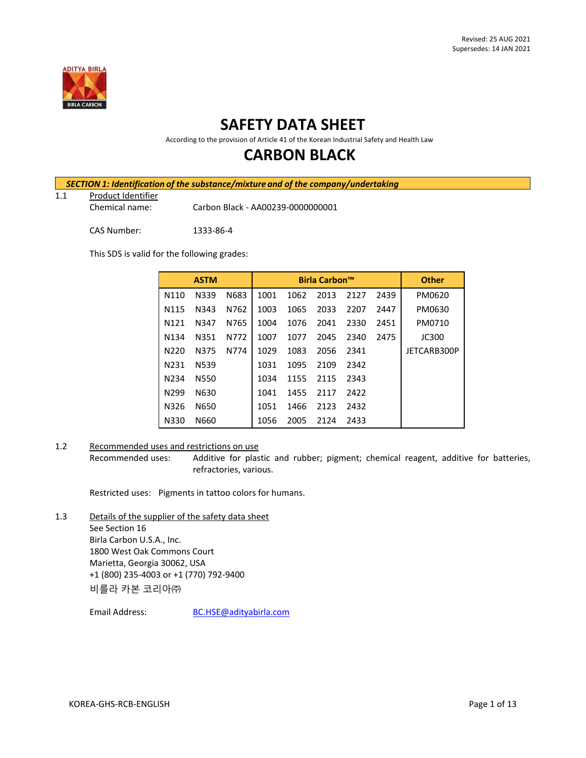

# **SAFETY DATA SHEET**

According to the provision of Article 41 of the Korean Industrial Safety and Health Law

# **CARBON BLACK**

|     | SECTION 1: Identification of the substance/mixture and of the company/undertaking |                                   |  |  |  |
|-----|-----------------------------------------------------------------------------------|-----------------------------------|--|--|--|
| 1.1 | Product Identifier                                                                |                                   |  |  |  |
|     | Chemical name:                                                                    | Carbon Black - AA00239-0000000001 |  |  |  |
|     | CAS Number:                                                                       | 1333-86-4                         |  |  |  |

This SDS is valid for the following grades:

|                   | <b>ASTM</b> |      |      |      | <b>Birla Carbon™</b> |      |      | <b>Other</b> |
|-------------------|-------------|------|------|------|----------------------|------|------|--------------|
| N110              | N339        | N683 | 1001 | 1062 | 2013                 | 2127 | 2439 | PM0620       |
| N115              | N343        | N762 | 1003 | 1065 | 2033                 | 2207 | 2447 | PM0630       |
| N <sub>121</sub>  | N347        | N765 | 1004 | 1076 | 2041                 | 2330 | 2451 | PM0710       |
| N <sub>1</sub> 34 | N351        | N772 | 1007 | 1077 | 2045                 | 2340 | 2475 | <b>JC300</b> |
| N <sub>220</sub>  | N375        | N774 | 1029 | 1083 | 2056                 | 2341 |      | JETCARB300P  |
| N <sub>2</sub> 31 | N539        |      | 1031 | 1095 | 2109                 | 2342 |      |              |
| N <sub>2</sub> 34 | N550        |      | 1034 | 1155 | 2115                 | 2343 |      |              |
| N <sub>299</sub>  | N630        |      | 1041 | 1455 | 2117                 | 2422 |      |              |
| N326              | N650        |      | 1051 | 1466 | 2123                 | 2432 |      |              |
| N330              | N660        |      | 1056 | 2005 | 2124                 | 2433 |      |              |

## 1.2 Recommended uses and restrictions on use

Recommended uses: Additive for plastic and rubber; pigment; chemical reagent, additive for batteries, refractories, various.

Restricted uses: Pigments in tattoo colors for humans.

1.3 Details of the supplier of the safety data sheet See Section 16 Birla Carbon U.S.A., Inc. 1800 West Oak Commons Court Marietta, Georgia 30062, USA +1 (800) 235-4003 or +1 (770) 792-9400 비를라 카본 코리아㈜

Email Address: [BC.HSE@adityabirla.com](mailto:BC.HSE@adityabirla.com)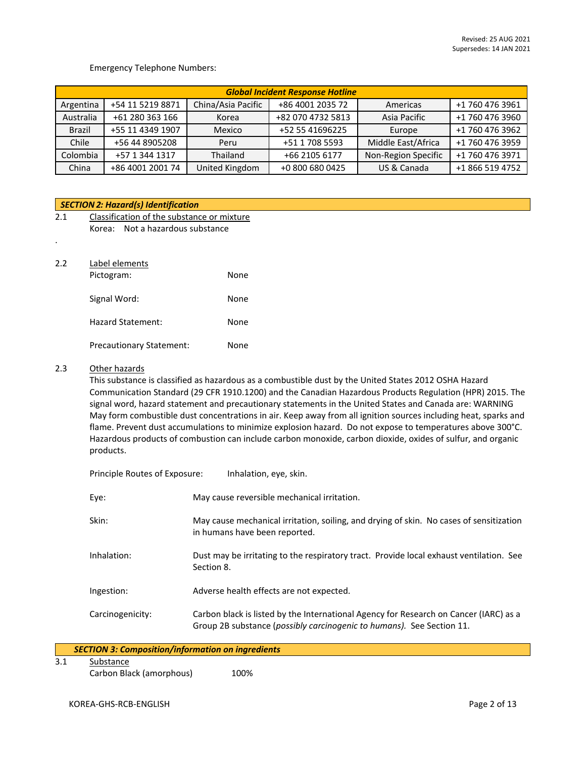### Emergency Telephone Numbers:

|               | <b>Global Incident Response Hotline</b> |                    |                   |                     |                 |  |  |
|---------------|-----------------------------------------|--------------------|-------------------|---------------------|-----------------|--|--|
| Argentina     | +54 11 5219 8871                        | China/Asia Pacific | +86 4001 2035 72  | Americas            | +1 760 476 3961 |  |  |
| Australia     | +61 280 363 166                         | Korea              | +82 070 4732 5813 | Asia Pacific        | +1 760 476 3960 |  |  |
| <b>Brazil</b> | +55 11 4349 1907                        | Mexico             | +52 55 41696225   | Europe              | +1 760 476 3962 |  |  |
| Chile         | +56 44 8905208                          | Peru               | +51 1 708 5593    | Middle East/Africa  | +1 760 476 3959 |  |  |
| Colombia      | +57 1 344 1317                          | Thailand           | +66 2105 6177     | Non-Region Specific | +1 760 476 3971 |  |  |
| China         | +86 4001 2001 74                        | United Kingdom     | +0 800 680 0425   | US & Canada         | +1 866 519 4752 |  |  |

| <b>SECTION 2: Hazard(s) Identification</b> |  |                                                                                                                                   |  |  |
|--------------------------------------------|--|-----------------------------------------------------------------------------------------------------------------------------------|--|--|
| Classification of the substance or mixture |  |                                                                                                                                   |  |  |
| Korea:                                     |  |                                                                                                                                   |  |  |
|                                            |  |                                                                                                                                   |  |  |
|                                            |  |                                                                                                                                   |  |  |
|                                            |  |                                                                                                                                   |  |  |
|                                            |  | None                                                                                                                              |  |  |
|                                            |  |                                                                                                                                   |  |  |
|                                            |  | None                                                                                                                              |  |  |
|                                            |  | None                                                                                                                              |  |  |
|                                            |  |                                                                                                                                   |  |  |
|                                            |  | None                                                                                                                              |  |  |
|                                            |  | Not a hazardous substance<br>Label elements<br>Pictogram:<br>Signal Word:<br>Hazard Statement:<br><b>Precautionary Statement:</b> |  |  |

## 2.3 Other hazards

This substance is classified as hazardous as a combustible dust by the United States 2012 OSHA Hazard Communication Standard (29 CFR 1910.1200) and the Canadian Hazardous Products Regulation (HPR) 2015. The signal word, hazard statement and precautionary statements in the United States and Canada are: WARNING May form combustible dust concentrations in air. Keep away from all ignition sources including heat, sparks and flame. Prevent dust accumulations to minimize explosion hazard. Do not expose to temperatures above 300°C. Hazardous products of combustion can include carbon monoxide, carbon dioxide, oxides of sulfur, and organic products.

| Principle Routes of Exposure: | Inhalation, eye, skin.                                                                                                                                         |
|-------------------------------|----------------------------------------------------------------------------------------------------------------------------------------------------------------|
| Eye:                          | May cause reversible mechanical irritation.                                                                                                                    |
| Skin:                         | May cause mechanical irritation, soiling, and drying of skin. No cases of sensitization<br>in humans have been reported.                                       |
| Inhalation:                   | Dust may be irritating to the respiratory tract. Provide local exhaust ventilation. See<br>Section 8.                                                          |
| Ingestion:                    | Adverse health effects are not expected.                                                                                                                       |
| Carcinogenicity:              | Carbon black is listed by the International Agency for Research on Cancer (IARC) as a<br>Group 2B substance (possibly carcinogenic to humans). See Section 11. |

| <b>SECTION 3: Composition/information on ingredients</b> |      |  |
|----------------------------------------------------------|------|--|
| Substance                                                |      |  |
| Carbon Black (amorphous)                                 | 100% |  |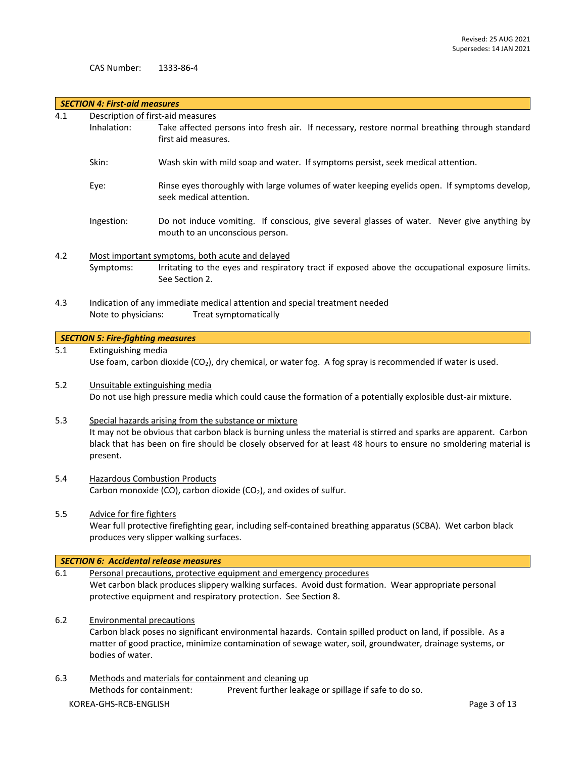CAS Number: 1333-86-4

|       | <b>SECTION 4: First-aid measures</b>                                                                                                                                                                                                                                                                       |                                                                                                                                                                                                                                                |  |  |  |  |
|-------|------------------------------------------------------------------------------------------------------------------------------------------------------------------------------------------------------------------------------------------------------------------------------------------------------------|------------------------------------------------------------------------------------------------------------------------------------------------------------------------------------------------------------------------------------------------|--|--|--|--|
| 4.1   | Description of first-aid measures                                                                                                                                                                                                                                                                          |                                                                                                                                                                                                                                                |  |  |  |  |
|       | Inhalation:                                                                                                                                                                                                                                                                                                | Take affected persons into fresh air. If necessary, restore normal breathing through standard<br>first aid measures.                                                                                                                           |  |  |  |  |
|       | Skin:                                                                                                                                                                                                                                                                                                      | Wash skin with mild soap and water. If symptoms persist, seek medical attention.                                                                                                                                                               |  |  |  |  |
|       | Eye:                                                                                                                                                                                                                                                                                                       | Rinse eyes thoroughly with large volumes of water keeping eyelids open. If symptoms develop,<br>seek medical attention.                                                                                                                        |  |  |  |  |
|       | Ingestion:                                                                                                                                                                                                                                                                                                 | Do not induce vomiting. If conscious, give several glasses of water. Never give anything by<br>mouth to an unconscious person.                                                                                                                 |  |  |  |  |
| 4.2   | Symptoms:                                                                                                                                                                                                                                                                                                  | Most important symptoms, both acute and delayed<br>Irritating to the eyes and respiratory tract if exposed above the occupational exposure limits.<br>See Section 2.                                                                           |  |  |  |  |
| 4.3   | Note to physicians:                                                                                                                                                                                                                                                                                        | Indication of any immediate medical attention and special treatment needed<br>Treat symptomatically                                                                                                                                            |  |  |  |  |
|       | <b>SECTION 5: Fire-fighting measures</b>                                                                                                                                                                                                                                                                   |                                                                                                                                                                                                                                                |  |  |  |  |
| 5.1   | <b>Extinguishing media</b>                                                                                                                                                                                                                                                                                 |                                                                                                                                                                                                                                                |  |  |  |  |
|       |                                                                                                                                                                                                                                                                                                            | Use foam, carbon dioxide ( $CO2$ ), dry chemical, or water fog. A fog spray is recommended if water is used.                                                                                                                                   |  |  |  |  |
|       |                                                                                                                                                                                                                                                                                                            |                                                                                                                                                                                                                                                |  |  |  |  |
| 5.2   |                                                                                                                                                                                                                                                                                                            | Unsuitable extinguishing media<br>Do not use high pressure media which could cause the formation of a potentially explosible dust-air mixture.                                                                                                 |  |  |  |  |
| 5.3   | Special hazards arising from the substance or mixture<br>It may not be obvious that carbon black is burning unless the material is stirred and sparks are apparent. Carbon<br>black that has been on fire should be closely observed for at least 48 hours to ensure no smoldering material is<br>present. |                                                                                                                                                                                                                                                |  |  |  |  |
| 5.4   | <b>Hazardous Combustion Products</b><br>Carbon monoxide (CO), carbon dioxide (CO <sub>2</sub> ), and oxides of sulfur.                                                                                                                                                                                     |                                                                                                                                                                                                                                                |  |  |  |  |
| 5.5   | Advice for fire fighters<br>Wear full protective firefighting gear, including self-contained breathing apparatus (SCBA). Wet carbon black<br>produces very slipper walking surfaces.                                                                                                                       |                                                                                                                                                                                                                                                |  |  |  |  |
|       |                                                                                                                                                                                                                                                                                                            | <b>SECTION 6: Accidental release measures</b>                                                                                                                                                                                                  |  |  |  |  |
| 6.1   |                                                                                                                                                                                                                                                                                                            | Personal precautions, protective equipment and emergency procedures<br>Wet carbon black produces slippery walking surfaces. Avoid dust formation. Wear appropriate personal<br>protective equipment and respiratory protection. See Section 8. |  |  |  |  |
| $6.2$ | <b>Environmental precautions</b><br>Carbon black poses no significant environmental hazards. Contain spilled product on land, if possible. As a<br>matter of good practice, minimize contamination of sewage water, soil, groundwater, drainage systems, or<br>bodies of water.                            |                                                                                                                                                                                                                                                |  |  |  |  |
| 6.3   |                                                                                                                                                                                                                                                                                                            | Methods and materials for containment and cleaning up                                                                                                                                                                                          |  |  |  |  |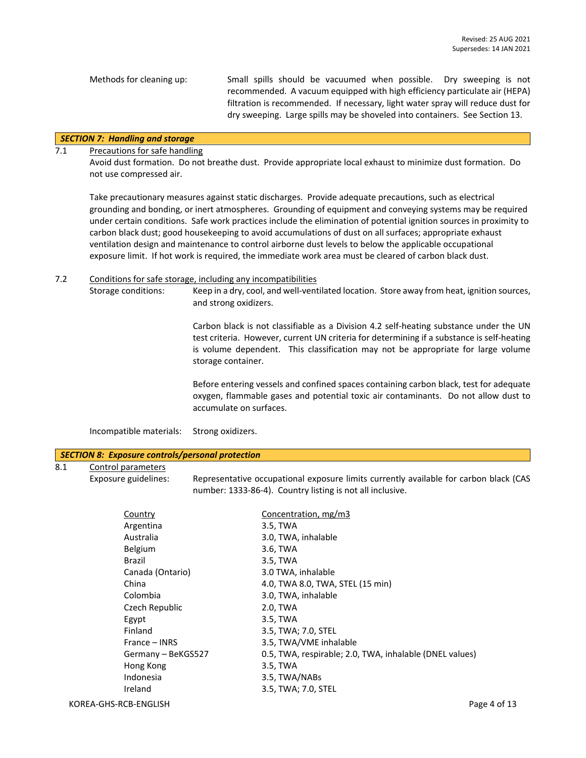Methods for cleaning up: Small spills should be vacuumed when possible. Dry sweeping is not recommended. A vacuum equipped with high efficiency particulate air (HEPA) filtration is recommended. If necessary, light water spray will reduce dust for dry sweeping. Large spills may be shoveled into containers. See Section 13.

## *SECTION 7: Handling and storage*

## 7.1 Precautions for safe handling

Avoid dust formation. Do not breathe dust. Provide appropriate local exhaust to minimize dust formation. Do not use compressed air.

Take precautionary measures against static discharges. Provide adequate precautions, such as electrical grounding and bonding, or inert atmospheres. Grounding of equipment and conveying systems may be required under certain conditions. Safe work practices include the elimination of potential ignition sources in proximity to carbon black dust; good housekeeping to avoid accumulations of dust on all surfaces; appropriate exhaust ventilation design and maintenance to control airborne dust levels to below the applicable occupational exposure limit. If hot work is required, the immediate work area must be cleared of carbon black dust.

## 7.2 Conditions for safe storage, including any incompatibilities

Storage conditions: Keep in a dry, cool, and well-ventilated location. Store away from heat, ignition sources, and strong oxidizers.

> Carbon black is not classifiable as a Division 4.2 self-heating substance under the UN test criteria. However, current UN criteria for determining if a substance is self-heating is volume dependent. This classification may not be appropriate for large volume storage container.

> Before entering vessels and confined spaces containing carbon black, test for adequate oxygen, flammable gases and potential toxic air contaminants. Do not allow dust to accumulate on surfaces.

Incompatible materials: Strong oxidizers.

#### *SECTION 8: Exposure controls/personal protection*

## 8.1 Control parameters

Exposure guidelines: Representative occupational exposure limits currently available for carbon black (CAS number: 1333-86-4). Country listing is not all inclusive.

| Country            | Concentration, mg/m3                                    |
|--------------------|---------------------------------------------------------|
| Argentina          | 3.5, TWA                                                |
| Australia          | 3.0, TWA, inhalable                                     |
| <b>Belgium</b>     | 3.6, TWA                                                |
| Brazil             | 3.5, TWA                                                |
| Canada (Ontario)   | 3.0 TWA, inhalable                                      |
| China              | 4.0, TWA 8.0, TWA, STEL (15 min)                        |
| Colombia           | 3.0, TWA, inhalable                                     |
| Czech Republic     | 2.0, TWA                                                |
| Egypt              | 3.5, TWA                                                |
| Finland            | 3.5, TWA; 7.0, STEL                                     |
| France – INRS      | 3.5, TWA/VME inhalable                                  |
| Germany - BeKGS527 | 0.5, TWA, respirable; 2.0, TWA, inhalable (DNEL values) |
| Hong Kong          | 3.5, TWA                                                |
| Indonesia          | 3.5, TWA/NABs                                           |
| Ireland            | 3.5, TWA; 7.0, STEL                                     |
|                    |                                                         |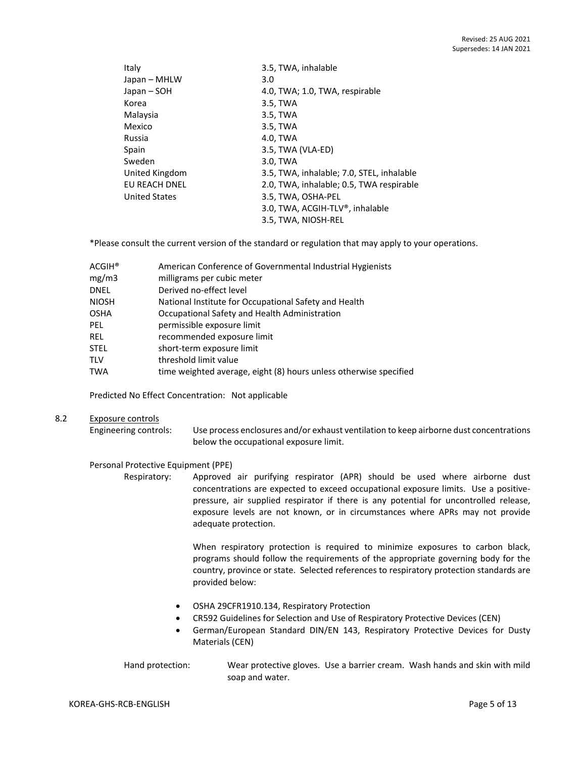| Italy                | 3.5, TWA, inhalable                       |
|----------------------|-------------------------------------------|
| Japan – MHLW         | 3.0                                       |
| Japan – SOH          | 4.0, TWA; 1.0, TWA, respirable            |
| Korea                | 3.5, TWA                                  |
| Malaysia             | 3.5, TWA                                  |
| Mexico               | 3.5, TWA                                  |
| Russia               | 4.0, TWA                                  |
| Spain                | 3.5, TWA (VLA-ED)                         |
| Sweden               | 3.0, TWA                                  |
| United Kingdom       | 3.5, TWA, inhalable; 7.0, STEL, inhalable |
| EU REACH DNEL        | 2.0, TWA, inhalable; 0.5, TWA respirable  |
| <b>United States</b> | 3.5, TWA, OSHA-PEL                        |
|                      | 3.0, TWA, ACGIH-TLV®, inhalable           |
|                      | 3.5, TWA, NIOSH-REL                       |
|                      |                                           |

\*Please consult the current version of the standard or regulation that may apply to your operations.

| $\mathsf{ACGIH}^\circledast$ | American Conference of Governmental Industrial Hygienists         |
|------------------------------|-------------------------------------------------------------------|
| mg/m3                        | milligrams per cubic meter                                        |
| DNEL                         | Derived no-effect level                                           |
| NIOSH                        | National Institute for Occupational Safety and Health             |
| OSHA                         | Occupational Safety and Health Administration                     |
| PEL.                         | permissible exposure limit                                        |
| <b>REL</b>                   | recommended exposure limit                                        |
| STEL                         | short-term exposure limit                                         |
| TLV                          | threshold limit value                                             |
| TWA                          | time weighted average, eight (8) hours unless otherwise specified |

Predicted No Effect Concentration: Not applicable

#### 8.2 Exposure controls

Engineering controls: Use process enclosures and/or exhaust ventilation to keep airborne dust concentrations below the occupational exposure limit.

### Personal Protective Equipment (PPE)

Respiratory: Approved air purifying respirator (APR) should be used where airborne dust concentrations are expected to exceed occupational exposure limits. Use a positivepressure, air supplied respirator if there is any potential for uncontrolled release, exposure levels are not known, or in circumstances where APRs may not provide adequate protection.

> When respiratory protection is required to minimize exposures to carbon black, programs should follow the requirements of the appropriate governing body for the country, province or state. Selected references to respiratory protection standards are provided below:

- OSHA 29CFR1910.134, Respiratory Protection
- CR592 Guidelines for Selection and Use of Respiratory Protective Devices (CEN)
- German/European Standard DIN/EN 143, Respiratory Protective Devices for Dusty Materials (CEN)

Hand protection: Wear protective gloves. Use a barrier cream. Wash hands and skin with mild soap and water.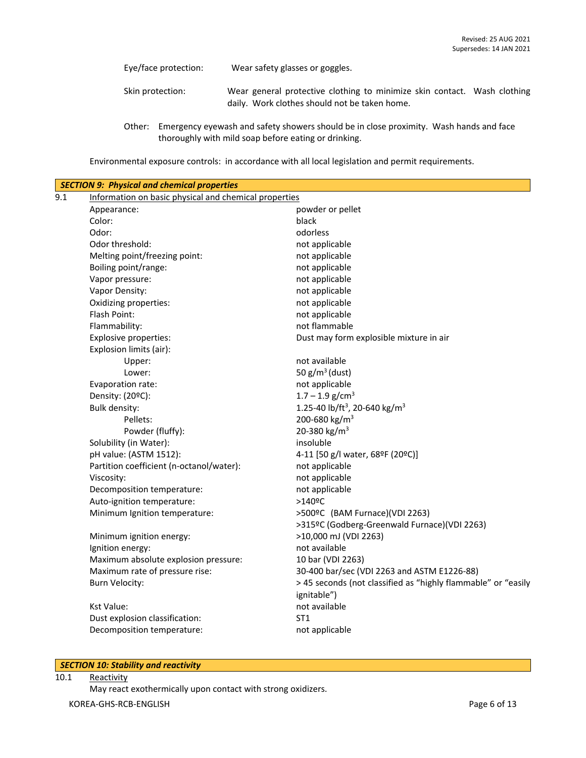Eye/face protection: Wear safety glasses or goggles.

Skin protection: Wear general protective clothing to minimize skin contact. Wash clothing daily. Work clothes should not be taken home.

Environmental exposure controls: in accordance with all local legislation and permit requirements.

| Information on basic physical and chemical properties |                                                                                      |
|-------------------------------------------------------|--------------------------------------------------------------------------------------|
| Appearance:                                           | powder or pellet                                                                     |
| Color:                                                | black                                                                                |
| Odor:                                                 | odorless                                                                             |
| Odor threshold:                                       | not applicable                                                                       |
| Melting point/freezing point:                         | not applicable                                                                       |
| Boiling point/range:                                  | not applicable                                                                       |
| Vapor pressure:                                       | not applicable                                                                       |
| Vapor Density:                                        | not applicable                                                                       |
| Oxidizing properties:                                 | not applicable                                                                       |
| Flash Point:                                          | not applicable                                                                       |
| Flammability:                                         | not flammable                                                                        |
| Explosive properties:                                 | Dust may form explosible mixture in air                                              |
| Explosion limits (air):                               |                                                                                      |
| Upper:                                                | not available                                                                        |
| Lower:                                                | 50 $g/m^3$ (dust)                                                                    |
| Evaporation rate:                                     | not applicable                                                                       |
| Density: (20ºC):                                      | $1.7 - 1.9$ g/cm <sup>3</sup>                                                        |
| Bulk density:                                         | 1.25-40 lb/ft <sup>3</sup> , 20-640 kg/m <sup>3</sup>                                |
| Pellets:                                              | 200-680 kg/m <sup>3</sup>                                                            |
| Powder (fluffy):                                      | 20-380 kg/m <sup>3</sup>                                                             |
| Solubility (in Water):                                | insoluble                                                                            |
| pH value: (ASTM 1512):                                | 4-11 [50 g/l water, 68ºF (20ºC)]                                                     |
| Partition coefficient (n-octanol/water):              | not applicable                                                                       |
| Viscosity:                                            | not applicable                                                                       |
| Decomposition temperature:                            | not applicable                                                                       |
| Auto-ignition temperature:                            | $>140$ <sup>o</sup> C                                                                |
| Minimum Ignition temperature:                         | >500°C (BAM Furnace)(VDI 2263)                                                       |
|                                                       | >315ºC (Godberg-Greenwald Furnace)(VDI 2263)                                         |
| Minimum ignition energy:                              | >10,000 mJ (VDI 2263)                                                                |
| Ignition energy:                                      | not available                                                                        |
| Maximum absolute explosion pressure:                  | 10 bar (VDI 2263)                                                                    |
| Maximum rate of pressure rise:                        | 30-400 bar/sec (VDI 2263 and ASTM E1226-88)                                          |
| <b>Burn Velocity:</b>                                 | > 45 seconds (not classified as "highly flammable" or "easily<br>ignitable")         |
| <b>Kst Value:</b>                                     | not available                                                                        |
|                                                       | ST <sub>1</sub>                                                                      |
| Decomposition temperature:                            | not applicable                                                                       |
|                                                       | <b>SECTION 9: Physical and chemical properties</b><br>Dust explosion classification: |

### *SECTION 10: Stability and reactivity*

10.1 Reactivity

May react exothermically upon contact with strong oxidizers.

Other: Emergency eyewash and safety showers should be in close proximity. Wash hands and face thoroughly with mild soap before eating or drinking.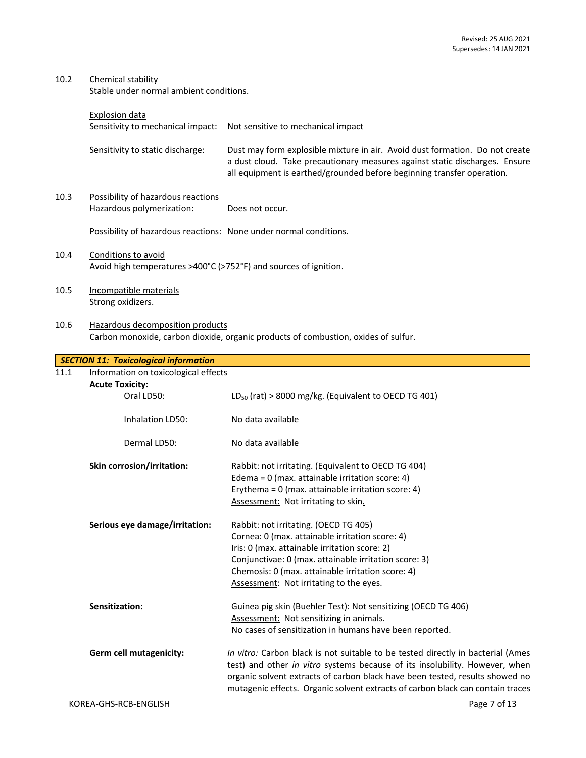| 10.2 | Chemical stability<br>Stable under normal ambient conditions.                           |                                                                                                                                                                                                                                                                                                    |
|------|-----------------------------------------------------------------------------------------|----------------------------------------------------------------------------------------------------------------------------------------------------------------------------------------------------------------------------------------------------------------------------------------------------|
|      | <b>Explosion data</b>                                                                   |                                                                                                                                                                                                                                                                                                    |
|      | Sensitivity to mechanical impact:                                                       | Not sensitive to mechanical impact                                                                                                                                                                                                                                                                 |
|      | Sensitivity to static discharge:                                                        | Dust may form explosible mixture in air. Avoid dust formation. Do not create<br>a dust cloud. Take precautionary measures against static discharges. Ensure<br>all equipment is earthed/grounded before beginning transfer operation.                                                              |
| 10.3 | Possibility of hazardous reactions<br>Hazardous polymerization:                         | Does not occur.                                                                                                                                                                                                                                                                                    |
|      | Possibility of hazardous reactions: None under normal conditions.                       |                                                                                                                                                                                                                                                                                                    |
| 10.4 | Conditions to avoid<br>Avoid high temperatures >400°C (>752°F) and sources of ignition. |                                                                                                                                                                                                                                                                                                    |
| 10.5 | Incompatible materials<br>Strong oxidizers.                                             |                                                                                                                                                                                                                                                                                                    |
| 10.6 | Hazardous decomposition products                                                        | Carbon monoxide, carbon dioxide, organic products of combustion, oxides of sulfur.                                                                                                                                                                                                                 |
|      | <b>SECTION 11: Toxicological information</b>                                            |                                                                                                                                                                                                                                                                                                    |
| 11.1 | Information on toxicological effects                                                    |                                                                                                                                                                                                                                                                                                    |
|      | <b>Acute Toxicity:</b>                                                                  |                                                                                                                                                                                                                                                                                                    |
|      | Oral LD50:                                                                              | $LD_{50}$ (rat) > 8000 mg/kg. (Equivalent to OECD TG 401)                                                                                                                                                                                                                                          |
|      | Inhalation LD50:                                                                        | No data available                                                                                                                                                                                                                                                                                  |
|      | Dermal LD50:                                                                            | No data available                                                                                                                                                                                                                                                                                  |
|      | Skin corrosion/irritation:                                                              | Rabbit: not irritating. (Equivalent to OECD TG 404)<br>Edema = $0$ (max. attainable irritation score: 4)<br>Erythema = $0$ (max. attainable irritation score: 4)<br>Assessment: Not irritating to skin.                                                                                            |
|      | Serious eye damage/irritation:                                                          | Rabbit: not irritating. (OECD TG 405)<br>Cornea: 0 (max. attainable irritation score: 4)<br>Iris: 0 (max. attainable irritation score: 2)<br>Conjunctivae: 0 (max. attainable irritation score: 3)<br>Chemosis: 0 (max. attainable irritation score: 4)<br>Assessment: Not irritating to the eyes. |
|      | Sensitization:                                                                          | Guinea pig skin (Buehler Test): Not sensitizing (OECD TG 406)<br>Assessment: Not sensitizing in animals.<br>No cases of sensitization in humans have been reported.                                                                                                                                |

**Germ cell mutagenicity:** *In vitro:* Carbon black is not suitable to be tested directly in bacterial (Ames test) and other *in vitro* systems because of its insolubility. However, when organic solvent extracts of carbon black have been tested, results showed no mutagenic effects. Organic solvent extracts of carbon black can contain traces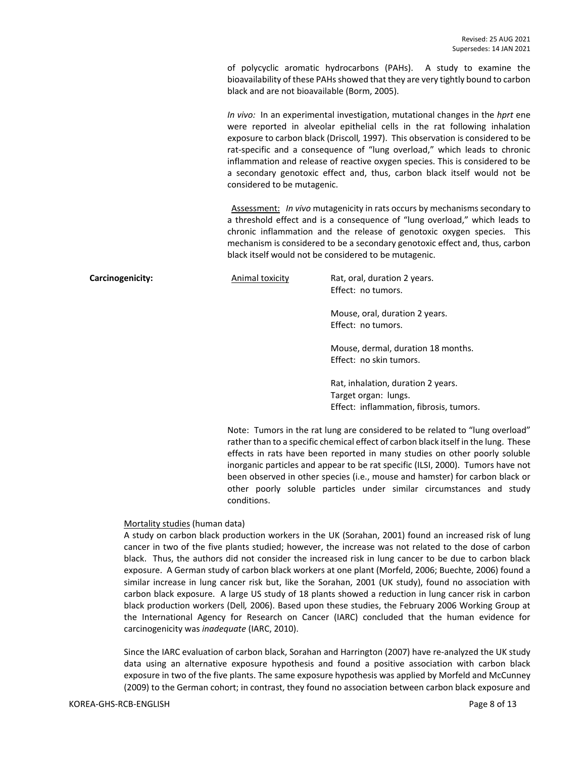of polycyclic aromatic hydrocarbons (PAHs). A study to examine the bioavailability of these PAHs showed that they are very tightly bound to carbon black and are not bioavailable (Borm, 2005).

*In vivo:* In an experimental investigation, mutational changes in the *hprt* ene were reported in alveolar epithelial cells in the rat following inhalation exposure to carbon black (Driscoll*,* 1997). This observation is considered to be rat-specific and a consequence of "lung overload," which leads to chronic inflammation and release of reactive oxygen species. This is considered to be a secondary genotoxic effect and, thus, carbon black itself would not be considered to be mutagenic.

Assessment: *In vivo* mutagenicity in rats occurs by mechanisms secondary to a threshold effect and is a consequence of "lung overload," which leads to chronic inflammation and the release of genotoxic oxygen species. This mechanism is considered to be a secondary genotoxic effect and, thus, carbon black itself would not be considered to be mutagenic.

**Carcinogenicity:** Animal toxicity Rat, oral, duration 2 years. Effect: no tumors.

> Mouse, oral, duration 2 years. Effect: no tumors.

Mouse, dermal, duration 18 months. Effect: no skin tumors.

Rat, inhalation, duration 2 years. Target organ: lungs. Effect: inflammation, fibrosis, tumors.

Note: Tumors in the rat lung are considered to be related to "lung overload" rather than to a specific chemical effect of carbon black itself in the lung. These effects in rats have been reported in many studies on other poorly soluble inorganic particles and appear to be rat specific (ILSI, 2000). Tumors have not been observed in other species (i.e., mouse and hamster) for carbon black or other poorly soluble particles under similar circumstances and study conditions.

### Mortality studies (human data)

A study on carbon black production workers in the UK (Sorahan, 2001) found an increased risk of lung cancer in two of the five plants studied; however, the increase was not related to the dose of carbon black. Thus, the authors did not consider the increased risk in lung cancer to be due to carbon black exposure. A German study of carbon black workers at one plant (Morfeld, 2006; Buechte, 2006) found a similar increase in lung cancer risk but, like the Sorahan, 2001 (UK study), found no association with carbon black exposure. A large US study of 18 plants showed a reduction in lung cancer risk in carbon black production workers (Dell*,* 2006). Based upon these studies, the February 2006 Working Group at the International Agency for Research on Cancer (IARC) concluded that the human evidence for carcinogenicity was *inadequate* (IARC, 2010).

Since the IARC evaluation of carbon black, Sorahan and Harrington (2007) have re-analyzed the UK study data using an alternative exposure hypothesis and found a positive association with carbon black exposure in two of the five plants. The same exposure hypothesis was applied by Morfeld and McCunney (2009) to the German cohort; in contrast, they found no association between carbon black exposure and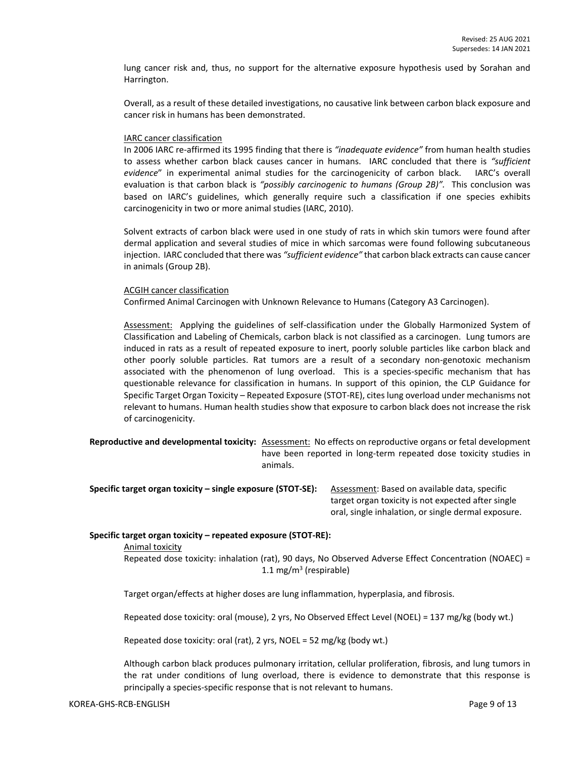lung cancer risk and, thus, no support for the alternative exposure hypothesis used by Sorahan and Harrington.

Overall, as a result of these detailed investigations, no causative link between carbon black exposure and cancer risk in humans has been demonstrated.

#### IARC cancer classification

In 2006 IARC re-affirmed its 1995 finding that there is *"inadequate evidence"* from human health studies to assess whether carbon black causes cancer in humans. IARC concluded that there is *"sufficient evidence*" in experimental animal studies for the carcinogenicity of carbon black. IARC's overall evaluation is that carbon black is *"possibly carcinogenic to humans (Group 2B)".* This conclusion was based on IARC's guidelines, which generally require such a classification if one species exhibits carcinogenicity in two or more animal studies (IARC, 2010).

Solvent extracts of carbon black were used in one study of rats in which skin tumors were found after dermal application and several studies of mice in which sarcomas were found following subcutaneous injection. IARC concluded that there was *"sufficient evidence"* that carbon black extracts can cause cancer in animals (Group 2B).

#### ACGIH cancer classification

Confirmed Animal Carcinogen with Unknown Relevance to Humans (Category A3 Carcinogen).

Assessment: Applying the guidelines of self-classification under the Globally Harmonized System of Classification and Labeling of Chemicals, carbon black is not classified as a carcinogen. Lung tumors are induced in rats as a result of repeated exposure to inert, poorly soluble particles like carbon black and other poorly soluble particles. Rat tumors are a result of a secondary non-genotoxic mechanism associated with the phenomenon of lung overload. This is a species-specific mechanism that has questionable relevance for classification in humans. In support of this opinion, the CLP Guidance for Specific Target Organ Toxicity – Repeated Exposure (STOT-RE), cites lung overload under mechanisms not relevant to humans. Human health studies show that exposure to carbon black does not increase the risk of carcinogenicity.

**Reproductive and developmental toxicity:** Assessment: No effects on reproductive organs or fetal development have been reported in long-term repeated dose toxicity studies in animals.

**Specific target organ toxicity – single exposure (STOT-SE):** Assessment: Based on available data, specific target organ toxicity is not expected after single oral, single inhalation, or single dermal exposure.

## **Specific target organ toxicity – repeated exposure (STOT-RE):**

Animal toxicity

Repeated dose toxicity: inhalation (rat), 90 days, No Observed Adverse Effect Concentration (NOAEC) = 1.1 mg/m<sup>3</sup> (respirable)

Target organ/effects at higher doses are lung inflammation, hyperplasia, and fibrosis.

Repeated dose toxicity: oral (mouse), 2 yrs, No Observed Effect Level (NOEL) = 137 mg/kg (body wt.)

Repeated dose toxicity: oral (rat), 2 yrs, NOEL = 52 mg/kg (body wt.)

Although carbon black produces pulmonary irritation, cellular proliferation, fibrosis, and lung tumors in the rat under conditions of lung overload, there is evidence to demonstrate that this response is principally a species-specific response that is not relevant to humans.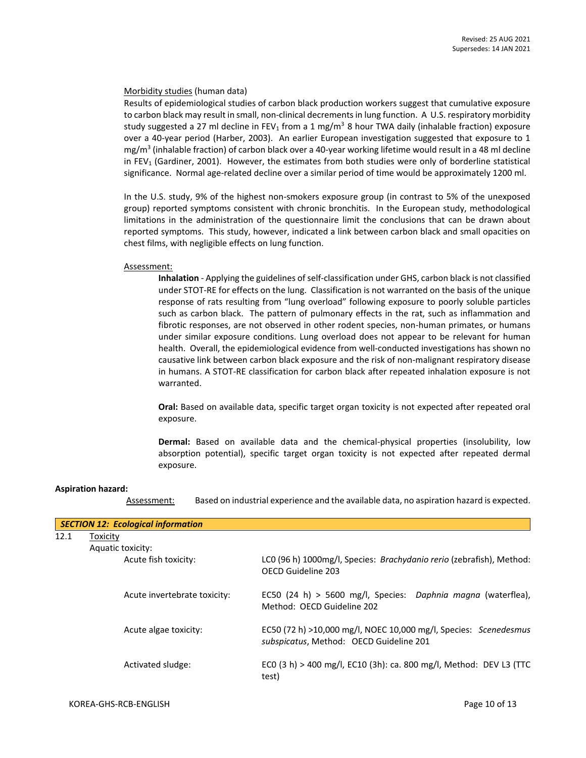### Morbidity studies (human data)

Results of epidemiological studies of carbon black production workers suggest that cumulative exposure to carbon black may result in small, non-clinical decrements in lung function. A U.S. respiratory morbidity study suggested a 27 ml decline in FEV<sub>1</sub> from a 1 mg/m<sup>3</sup> 8 hour TWA daily (inhalable fraction) exposure over a 40-year period (Harber, 2003). An earlier European investigation suggested that exposure to 1 mg/m<sup>3</sup> (inhalable fraction) of carbon black over a 40-year working lifetime would result in a 48 ml decline in FEV<sub>1</sub> (Gardiner, 2001). However, the estimates from both studies were only of borderline statistical significance. Normal age-related decline over a similar period of time would be approximately 1200 ml.

In the U.S. study, 9% of the highest non-smokers exposure group (in contrast to 5% of the unexposed group) reported symptoms consistent with chronic bronchitis. In the European study, methodological limitations in the administration of the questionnaire limit the conclusions that can be drawn about reported symptoms. This study, however, indicated a link between carbon black and small opacities on chest films, with negligible effects on lung function.

### Assessment:

**Inhalation** - Applying the guidelines of self-classification under GHS, carbon black is not classified under STOT-RE for effects on the lung. Classification is not warranted on the basis of the unique response of rats resulting from "lung overload" following exposure to poorly soluble particles such as carbon black. The pattern of pulmonary effects in the rat, such as inflammation and fibrotic responses, are not observed in other rodent species, non-human primates, or humans under similar exposure conditions. Lung overload does not appear to be relevant for human health. Overall, the epidemiological evidence from well-conducted investigations has shown no causative link between carbon black exposure and the risk of non-malignant respiratory disease in humans. A STOT-RE classification for carbon black after repeated inhalation exposure is not warranted.

**Oral:** Based on available data, specific target organ toxicity is not expected after repeated oral exposure.

**Dermal:** Based on available data and the chemical-physical properties (insolubility, low absorption potential), specific target organ toxicity is not expected after repeated dermal exposure.

#### **Aspiration hazard:**

Assessment: Based on industrial experience and the available data, no aspiration hazard is expected.

| <b>SECTION 12: Ecological information</b> |                              |                                                                                                             |  |  |  |  |  |
|-------------------------------------------|------------------------------|-------------------------------------------------------------------------------------------------------------|--|--|--|--|--|
| 12.1                                      | Toxicity                     |                                                                                                             |  |  |  |  |  |
|                                           | Aquatic toxicity:            |                                                                                                             |  |  |  |  |  |
|                                           | Acute fish toxicity:         | LCO (96 h) 1000mg/l, Species: Brachydanio rerio (zebrafish), Method:<br>OECD Guideline 203                  |  |  |  |  |  |
|                                           | Acute invertebrate toxicity: | EC50 (24 h) > 5600 mg/l, Species: Daphnia magna (waterflea),<br>Method: OECD Guideline 202                  |  |  |  |  |  |
|                                           | Acute algae toxicity:        | EC50 (72 h) >10,000 mg/l, NOEC 10,000 mg/l, Species: Scenedesmus<br>subspicatus, Method: OECD Guideline 201 |  |  |  |  |  |
|                                           | Activated sludge:            | ECO (3 h) > 400 mg/l, EC10 (3h): ca. 800 mg/l, Method: DEV L3 (TTC<br>test)                                 |  |  |  |  |  |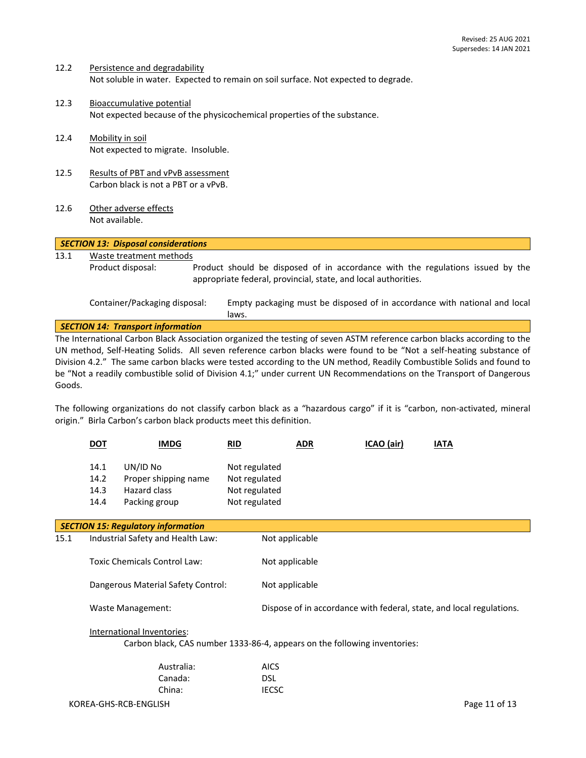12.2 Persistence and degradability Not soluble in water. Expected to remain on soil surface. Not expected to degrade.

laws.

China: IECSC

- 12.3 Bioaccumulative potential Not expected because of the physicochemical properties of the substance.
- 12.4 Mobility in soil Not expected to migrate. Insoluble.
- 12.5 Results of PBT and vPvB assessment Carbon black is not a PBT or a vPvB.
- 12.6 Other adverse effects Not available.

## *SECTION 13: Disposal considerations* 13.1 Waste treatment methods Product disposal: Product should be disposed of in accordance with the regulations issued by the appropriate federal, provincial, state, and local authorities. Container/Packaging disposal: Empty packaging must be disposed of in accordance with national and local

*SECTION 14: Transport information*

The International Carbon Black Association organized the testing of seven ASTM reference carbon blacks according to the UN method, Self-Heating Solids. All seven reference carbon blacks were found to be "Not a self-heating substance of Division 4.2." The same carbon blacks were tested according to the UN method, Readily Combustible Solids and found to be "Not a readily combustible solid of Division 4.1;" under current UN Recommendations on the Transport of Dangerous Goods.

The following organizations do not classify carbon black as a "hazardous cargo" if it is "carbon, non-activated, mineral origin." Birla Carbon's carbon black products meet this definition.

|                                           | <u>DOT</u>                                                                                                                   | <b>IMDG</b>                                                       | <b>RID</b>                                                       |                                                                      | <b>ADR</b> | ICAO (air) | <b>IATA</b> |  |
|-------------------------------------------|------------------------------------------------------------------------------------------------------------------------------|-------------------------------------------------------------------|------------------------------------------------------------------|----------------------------------------------------------------------|------------|------------|-------------|--|
|                                           | 14.1<br>14.2<br>14.3<br>14.4                                                                                                 | UN/ID No<br>Proper shipping name<br>Hazard class<br>Packing group | Not regulated<br>Not regulated<br>Not regulated<br>Not regulated |                                                                      |            |            |             |  |
| <b>SECTION 15: Regulatory information</b> |                                                                                                                              |                                                                   |                                                                  |                                                                      |            |            |             |  |
| 15.1                                      | Industrial Safety and Health Law:                                                                                            |                                                                   |                                                                  | Not applicable                                                       |            |            |             |  |
|                                           | Toxic Chemicals Control Law:<br>Dangerous Material Safety Control:                                                           |                                                                   | Not applicable                                                   |                                                                      |            |            |             |  |
|                                           |                                                                                                                              |                                                                   | Not applicable                                                   |                                                                      |            |            |             |  |
|                                           | Waste Management:<br>International Inventories:<br>Carbon black, CAS number 1333-86-4, appears on the following inventories: |                                                                   |                                                                  | Dispose of in accordance with federal, state, and local regulations. |            |            |             |  |
|                                           |                                                                                                                              |                                                                   |                                                                  |                                                                      |            |            |             |  |
|                                           |                                                                                                                              | Australia:                                                        |                                                                  | <b>AICS</b>                                                          |            |            |             |  |
|                                           |                                                                                                                              | Canada                                                            |                                                                  | DSI                                                                  |            |            |             |  |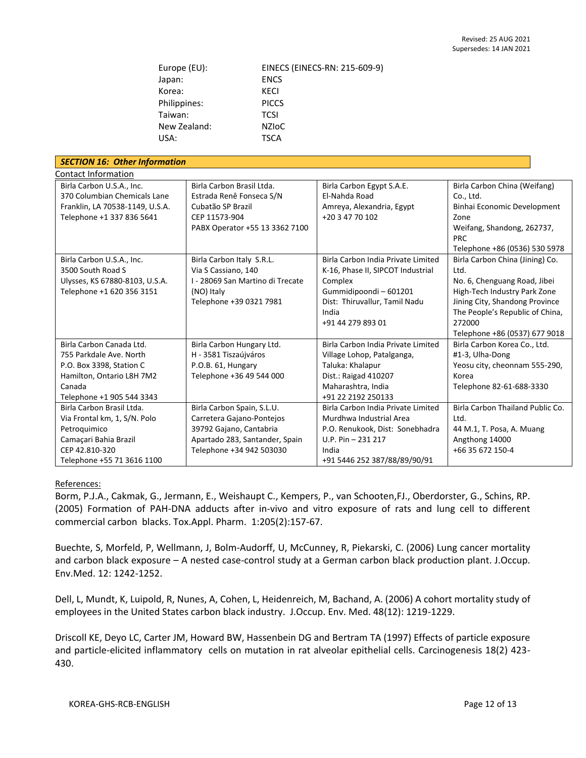| Europe (EU): | EINECS (EINECS-RN: 215-609-9) |  |  |
|--------------|-------------------------------|--|--|
| Japan:       | <b>ENCS</b>                   |  |  |
| Korea:       | KECI                          |  |  |
| Philippines: | <b>PICCS</b>                  |  |  |
| Taiwan:      | <b>TCSI</b>                   |  |  |
| New Zealand: | <b>NZIOC</b>                  |  |  |
| USA:         | <b>TSCA</b>                   |  |  |

| <b>SECTION 16: Other Information</b> |                                  |                                    |                                  |  |  |  |  |
|--------------------------------------|----------------------------------|------------------------------------|----------------------------------|--|--|--|--|
| <b>Contact Information</b>           |                                  |                                    |                                  |  |  |  |  |
| Birla Carbon U.S.A., Inc.            | Birla Carbon Brasil Ltda.        | Birla Carbon Egypt S.A.E.          | Birla Carbon China (Weifang)     |  |  |  |  |
| 370 Columbian Chemicals Lane         | Estrada Renê Fonseca S/N         | El-Nahda Road                      | Co., Ltd.                        |  |  |  |  |
| Franklin, LA 70538-1149, U.S.A.      | Cubatão SP Brazil                | Amreya, Alexandria, Egypt          | Binhai Economic Development      |  |  |  |  |
| Telephone +1 337 836 5641            | CEP 11573-904                    | +20 3 47 70 102                    | Zone                             |  |  |  |  |
|                                      | PABX Operator +55 13 3362 7100   |                                    | Weifang, Shandong, 262737,       |  |  |  |  |
|                                      |                                  |                                    | <b>PRC</b>                       |  |  |  |  |
|                                      |                                  |                                    | Telephone +86 (0536) 530 5978    |  |  |  |  |
| Birla Carbon U.S.A., Inc.            | Birla Carbon Italy S.R.L.        | Birla Carbon India Private Limited | Birla Carbon China (Jining) Co.  |  |  |  |  |
| 3500 South Road S                    | Via S Cassiano, 140              | K-16, Phase II, SIPCOT Industrial  | Ltd.                             |  |  |  |  |
| Ulysses, KS 67880-8103, U.S.A.       | I - 28069 San Martino di Trecate | Complex                            | No. 6, Chenguang Road, Jibei     |  |  |  |  |
| Telephone +1 620 356 3151            | (NO) Italy                       | Gummidipoondi-601201               | High-Tech Industry Park Zone     |  |  |  |  |
|                                      | Telephone +39 0321 7981          | Dist: Thiruvallur, Tamil Nadu      | Jining City, Shandong Province   |  |  |  |  |
|                                      |                                  | India                              | The People's Republic of China,  |  |  |  |  |
|                                      |                                  | +91 44 279 893 01                  | 272000                           |  |  |  |  |
|                                      |                                  |                                    | Telephone +86 (0537) 677 9018    |  |  |  |  |
| Birla Carbon Canada Ltd.             | Birla Carbon Hungary Ltd.        | Birla Carbon India Private Limited | Birla Carbon Korea Co., Ltd.     |  |  |  |  |
| 755 Parkdale Ave. North              | H - 3581 Tiszaújváros            | Village Lohop, Patalganga,         | #1-3, Ulha-Dong                  |  |  |  |  |
| P.O. Box 3398, Station C             | P.O.B. 61, Hungary               | Taluka: Khalapur                   | Yeosu city, cheonnam 555-290,    |  |  |  |  |
| Hamilton, Ontario L8H 7M2            | Telephone +36 49 544 000         | Dist.: Raigad 410207               | Korea                            |  |  |  |  |
| Canada                               |                                  | Maharashtra, India                 | Telephone 82-61-688-3330         |  |  |  |  |
| Telephone +1 905 544 3343            |                                  | +91 22 2192 250133                 |                                  |  |  |  |  |
| Birla Carbon Brasil Ltda.            | Birla Carbon Spain, S.L.U.       | Birla Carbon India Private Limited | Birla Carbon Thailand Public Co. |  |  |  |  |
| Via Frontal km, 1, S/N. Polo         | Carretera Gajano-Pontejos        | Murdhwa Industrial Area            | Ltd.                             |  |  |  |  |
| Petroquimico                         | 39792 Gajano, Cantabria          | P.O. Renukook, Dist: Sonebhadra    | 44 M.1, T. Posa, A. Muang        |  |  |  |  |
| Camaçari Bahia Brazil                | Apartado 283, Santander, Spain   | $U.P. Pin - 231 217$               | Angthong 14000                   |  |  |  |  |
| CEP 42.810-320                       | Telephone +34 942 503030         | India                              | +66 35 672 150-4                 |  |  |  |  |
| Telephone +55 71 3616 1100           |                                  | +91 5446 252 387/88/89/90/91       |                                  |  |  |  |  |

## References:

Borm, P.J.A., Cakmak, G., Jermann, E., Weishaupt C., Kempers, P., van Schooten,FJ., Oberdorster, G., Schins, RP. (2005) Formation of PAH-DNA adducts after in-vivo and vitro exposure of rats and lung cell to different commercial carbon blacks. Tox.Appl. Pharm. 1:205(2):157-67.

Buechte, S, Morfeld, P, Wellmann, J, Bolm-Audorff, U, McCunney, R, Piekarski, C. (2006) Lung cancer mortality and carbon black exposure – A nested case-control study at a German carbon black production plant. J.Occup. Env.Med. 12: 1242-1252.

Dell, L, Mundt, K, Luipold, R, Nunes, A, Cohen, L, Heidenreich, M, Bachand, A. (2006) A cohort mortality study of employees in the United States carbon black industry. J.Occup. Env. Med. 48(12): 1219-1229.

Driscoll KE, Deyo LC, Carter JM, Howard BW, Hassenbein DG and Bertram TA (1997) Effects of particle exposure and particle-elicited inflammatory cells on mutation in rat alveolar epithelial cells. Carcinogenesis 18(2) 423- 430.